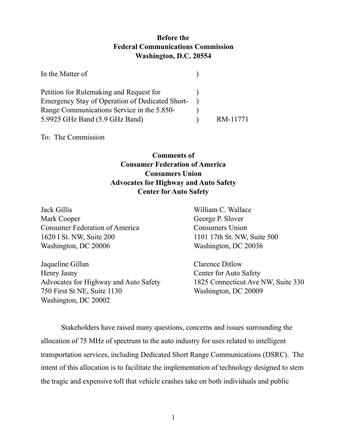## **Before the Federal Communications Commission Washington, D.C. 20554**

| In the Matter of                                |          |
|-------------------------------------------------|----------|
| Petition for Rulemaking and Request for         |          |
| Emergency Stay of Operation of Dedicated Short- |          |
| Range Communications Service in the 5.850-      |          |
| 5.9925 GHz Band (5.9 GHz Band)                  | RM-11771 |

To: The Commission

## **Comments of Consumer Federation of America Consumers Union Advocates for Highway and Auto Safety Center for Auto Safety**

| William C. Wallace          |
|-----------------------------|
| George P. Slover            |
| <b>Consumers Union</b>      |
| 1101 17th St. NW, Suite 500 |
| Washington, DC 20036        |
| <b>Clarence Ditlow</b>      |
| Center for Auto Safety      |
|                             |

Advocates for Highway and Auto Safety 1825 Connecticut Ave NW, Suite 330 750 First St NE, Suite 1130 Washington, DC 20009 Washington, DC 20002

Stakeholders have raised many questions, concerns and issues surrounding the allocation of 75 MHz of spectrum to the auto industry for uses related to intelligent transportation services, including Dedicated Short Range Communications (DSRC). The intent of this allocation is to facilitate the implementation of technology designed to stem the tragic and expensive toll that vehicle crashes take on both individuals and public